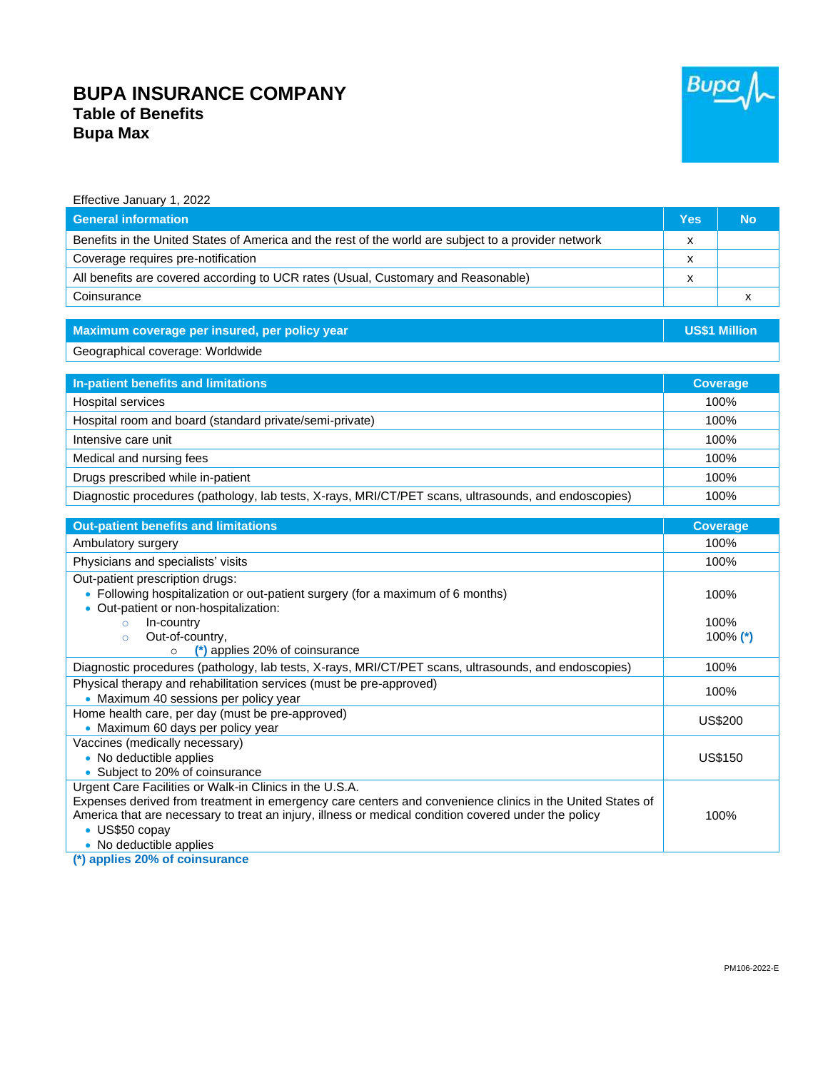## **BUPA INSURANCE COMPANY Table of Benefits Bupa Max**



| Effective January 1, 2022                                                                                                                                      |                 |                      |
|----------------------------------------------------------------------------------------------------------------------------------------------------------------|-----------------|----------------------|
| <b>General information</b>                                                                                                                                     | <b>Yes</b>      | <b>No</b>            |
| Benefits in the United States of America and the rest of the world are subject to a provider network                                                           | X               |                      |
| Coverage requires pre-notification                                                                                                                             | X               |                      |
| All benefits are covered according to UCR rates (Usual, Customary and Reasonable)                                                                              | X               |                      |
| Coinsurance                                                                                                                                                    |                 | x                    |
|                                                                                                                                                                |                 |                      |
| Maximum coverage per insured, per policy year                                                                                                                  |                 | <b>US\$1 Million</b> |
| Geographical coverage: Worldwide                                                                                                                               |                 |                      |
|                                                                                                                                                                |                 |                      |
| In-patient benefits and limitations                                                                                                                            | <b>Coverage</b> |                      |
| <b>Hospital services</b>                                                                                                                                       | 100%            |                      |
| Hospital room and board (standard private/semi-private)                                                                                                        | 100%            |                      |
| Intensive care unit                                                                                                                                            | 100%            |                      |
| Medical and nursing fees                                                                                                                                       | 100%            |                      |
| Drugs prescribed while in-patient                                                                                                                              | 100%            |                      |
| Diagnostic procedures (pathology, lab tests, X-rays, MRI/CT/PET scans, ultrasounds, and endoscopies)                                                           |                 | 100%                 |
|                                                                                                                                                                |                 |                      |
| <b>Out-patient benefits and limitations</b>                                                                                                                    |                 | <b>Coverage</b>      |
| Ambulatory surgery                                                                                                                                             |                 | 100%                 |
| Physicians and specialists' visits                                                                                                                             |                 | 100%                 |
| Out-patient prescription drugs:<br>• Following hospitalization or out-patient surgery (for a maximum of 6 months)<br>• Out-patient or non-hospitalization:     |                 | 100%                 |
| In-country<br>$\circ$<br>Out-of-country,<br>$\circ$<br>(*) applies 20% of coinsurance<br>$\circ$                                                               |                 | 100%<br>100% $(*)$   |
| Diagnostic procedures (pathology, lab tests, X-rays, MRI/CT/PET scans, ultrasounds, and endoscopies)                                                           |                 | 100%                 |
| Physical therapy and rehabilitation services (must be pre-approved)<br>• Maximum 40 sessions per policy year                                                   |                 | 100%                 |
| Home health care, per day (must be pre-approved)<br>• Maximum 60 days per policy year                                                                          |                 | US\$200              |
| Vaccines (medically necessary)<br>• No deductible applies<br>• Subject to 20% of coinsurance<br><b>Urgent Care Facilities or Walk-in Clinics in the U.S.A.</b> |                 | <b>US\$150</b>       |

Urgent Care Facilities or Walk-in Clinics in the U.S.A. Expenses derived from treatment in emergency care centers and convenience clinics in the United States of America that are necessary to treat an injury, illness or medical condition covered under the policy • US\$50 copay

• No deductible applies

**(\*) applies 20% of coinsurance**

100%